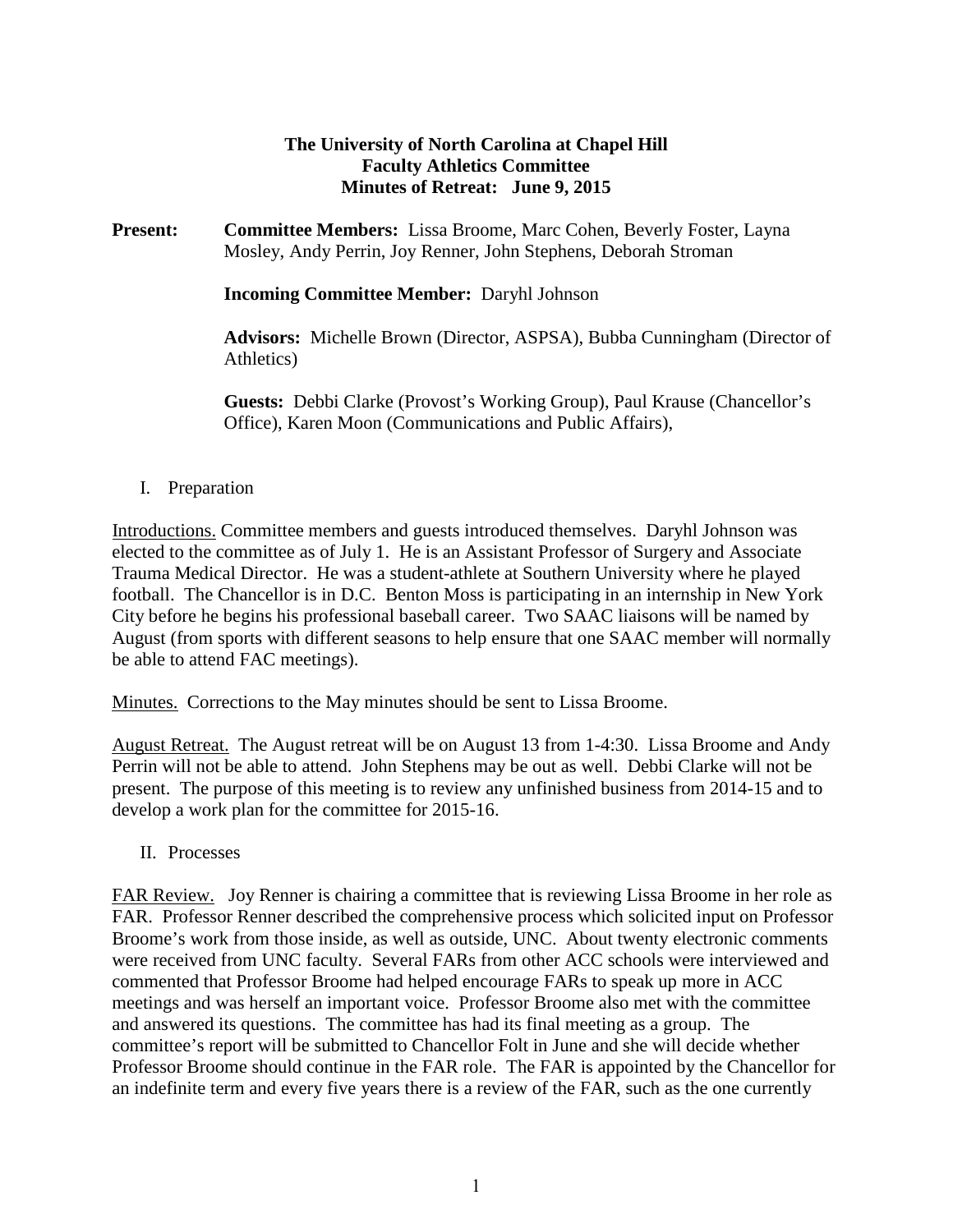### **The University of North Carolina at Chapel Hill Faculty Athletics Committee Minutes of Retreat: June 9, 2015**

**Present: Committee Members:** Lissa Broome, Marc Cohen, Beverly Foster, Layna Mosley, Andy Perrin, Joy Renner, John Stephens, Deborah Stroman

**Incoming Committee Member:** Daryhl Johnson

**Advisors:** Michelle Brown (Director, ASPSA), Bubba Cunningham (Director of Athletics)

**Guests:** Debbi Clarke (Provost's Working Group), Paul Krause (Chancellor's Office), Karen Moon (Communications and Public Affairs),

### I. Preparation

Introductions. Committee members and guests introduced themselves. Daryhl Johnson was elected to the committee as of July 1. He is an Assistant Professor of Surgery and Associate Trauma Medical Director. He was a student-athlete at Southern University where he played football. The Chancellor is in D.C. Benton Moss is participating in an internship in New York City before he begins his professional baseball career. Two SAAC liaisons will be named by August (from sports with different seasons to help ensure that one SAAC member will normally be able to attend FAC meetings).

Minutes. Corrections to the May minutes should be sent to Lissa Broome.

August Retreat. The August retreat will be on August 13 from 1-4:30. Lissa Broome and Andy Perrin will not be able to attend. John Stephens may be out as well. Debbi Clarke will not be present. The purpose of this meeting is to review any unfinished business from 2014-15 and to develop a work plan for the committee for 2015-16.

II. Processes

FAR Review. Joy Renner is chairing a committee that is reviewing Lissa Broome in her role as FAR. Professor Renner described the comprehensive process which solicited input on Professor Broome's work from those inside, as well as outside, UNC. About twenty electronic comments were received from UNC faculty. Several FARs from other ACC schools were interviewed and commented that Professor Broome had helped encourage FARs to speak up more in ACC meetings and was herself an important voice. Professor Broome also met with the committee and answered its questions. The committee has had its final meeting as a group. The committee's report will be submitted to Chancellor Folt in June and she will decide whether Professor Broome should continue in the FAR role. The FAR is appointed by the Chancellor for an indefinite term and every five years there is a review of the FAR, such as the one currently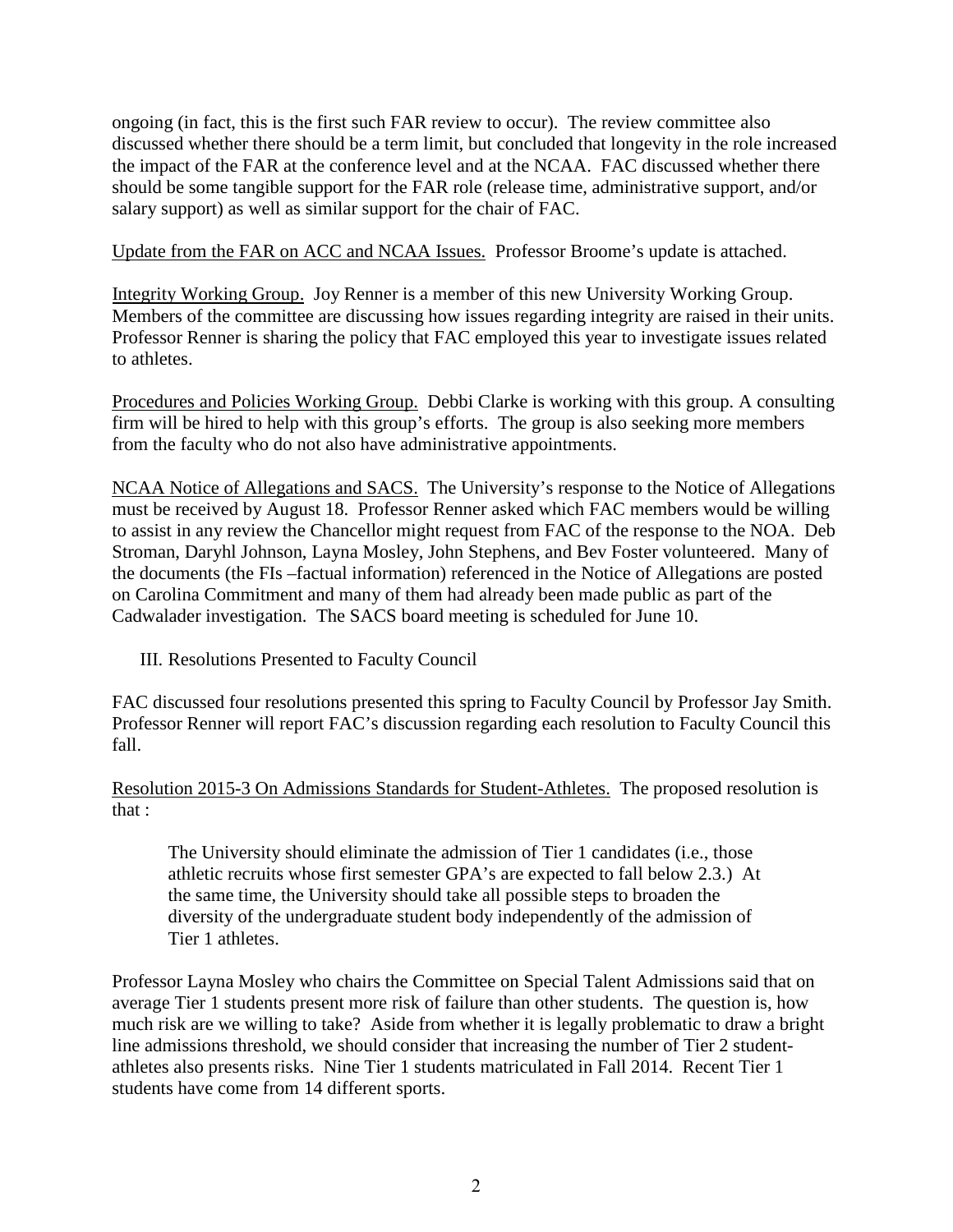ongoing (in fact, this is the first such FAR review to occur). The review committee also discussed whether there should be a term limit, but concluded that longevity in the role increased the impact of the FAR at the conference level and at the NCAA. FAC discussed whether there should be some tangible support for the FAR role (release time, administrative support, and/or salary support) as well as similar support for the chair of FAC.

Update from the FAR on ACC and NCAA Issues. Professor Broome's update is attached.

Integrity Working Group. Joy Renner is a member of this new University Working Group. Members of the committee are discussing how issues regarding integrity are raised in their units. Professor Renner is sharing the policy that FAC employed this year to investigate issues related to athletes.

Procedures and Policies Working Group. Debbi Clarke is working with this group. A consulting firm will be hired to help with this group's efforts. The group is also seeking more members from the faculty who do not also have administrative appointments.

NCAA Notice of Allegations and SACS. The University's response to the Notice of Allegations must be received by August 18. Professor Renner asked which FAC members would be willing to assist in any review the Chancellor might request from FAC of the response to the NOA. Deb Stroman, Daryhl Johnson, Layna Mosley, John Stephens, and Bev Foster volunteered. Many of the documents (the FIs –factual information) referenced in the Notice of Allegations are posted on Carolina Commitment and many of them had already been made public as part of the Cadwalader investigation. The SACS board meeting is scheduled for June 10.

III. Resolutions Presented to Faculty Council

FAC discussed four resolutions presented this spring to Faculty Council by Professor Jay Smith. Professor Renner will report FAC's discussion regarding each resolution to Faculty Council this fall.

Resolution 2015-3 On Admissions Standards for Student-Athletes. The proposed resolution is that :

The University should eliminate the admission of Tier 1 candidates (i.e., those athletic recruits whose first semester GPA's are expected to fall below 2.3.) At the same time, the University should take all possible steps to broaden the diversity of the undergraduate student body independently of the admission of Tier 1 athletes.

Professor Layna Mosley who chairs the Committee on Special Talent Admissions said that on average Tier 1 students present more risk of failure than other students. The question is, how much risk are we willing to take? Aside from whether it is legally problematic to draw a bright line admissions threshold, we should consider that increasing the number of Tier 2 studentathletes also presents risks. Nine Tier 1 students matriculated in Fall 2014. Recent Tier 1 students have come from 14 different sports.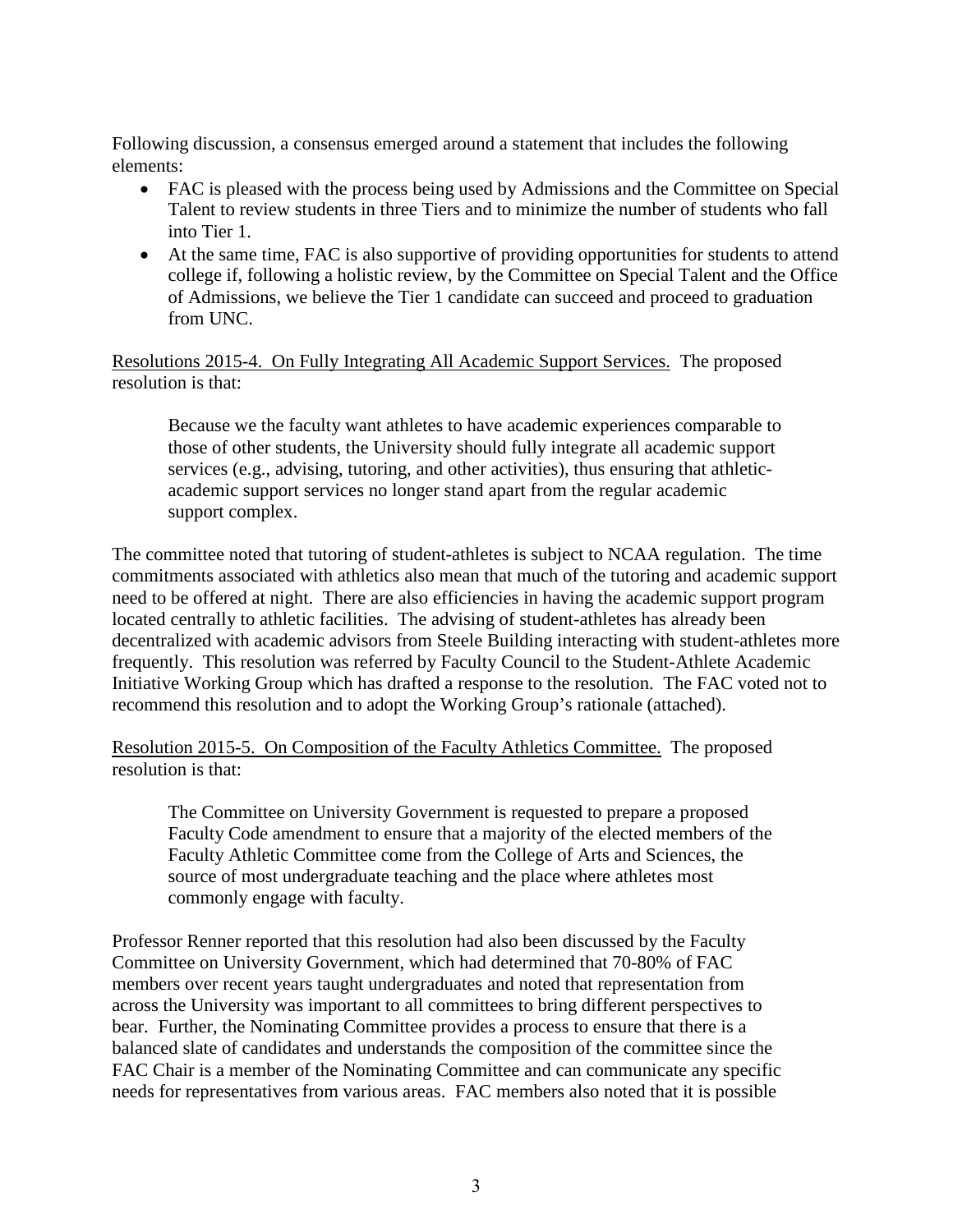Following discussion, a consensus emerged around a statement that includes the following elements:

- FAC is pleased with the process being used by Admissions and the Committee on Special Talent to review students in three Tiers and to minimize the number of students who fall into Tier 1.
- At the same time, FAC is also supportive of providing opportunities for students to attend college if, following a holistic review, by the Committee on Special Talent and the Office of Admissions, we believe the Tier 1 candidate can succeed and proceed to graduation from UNC.

Resolutions 2015-4. On Fully Integrating All Academic Support Services. The proposed resolution is that:

Because we the faculty want athletes to have academic experiences comparable to those of other students, the University should fully integrate all academic support services (e.g., advising, tutoring, and other activities), thus ensuring that athleticacademic support services no longer stand apart from the regular academic support complex.

The committee noted that tutoring of student-athletes is subject to NCAA regulation. The time commitments associated with athletics also mean that much of the tutoring and academic support need to be offered at night. There are also efficiencies in having the academic support program located centrally to athletic facilities. The advising of student-athletes has already been decentralized with academic advisors from Steele Building interacting with student-athletes more frequently. This resolution was referred by Faculty Council to the Student-Athlete Academic Initiative Working Group which has drafted a response to the resolution. The FAC voted not to recommend this resolution and to adopt the Working Group's rationale (attached).

Resolution 2015-5. On Composition of the Faculty Athletics Committee. The proposed resolution is that:

The Committee on University Government is requested to prepare a proposed Faculty Code amendment to ensure that a majority of the elected members of the Faculty Athletic Committee come from the College of Arts and Sciences, the source of most undergraduate teaching and the place where athletes most commonly engage with faculty.

Professor Renner reported that this resolution had also been discussed by the Faculty Committee on University Government, which had determined that 70-80% of FAC members over recent years taught undergraduates and noted that representation from across the University was important to all committees to bring different perspectives to bear. Further, the Nominating Committee provides a process to ensure that there is a balanced slate of candidates and understands the composition of the committee since the FAC Chair is a member of the Nominating Committee and can communicate any specific needs for representatives from various areas. FAC members also noted that it is possible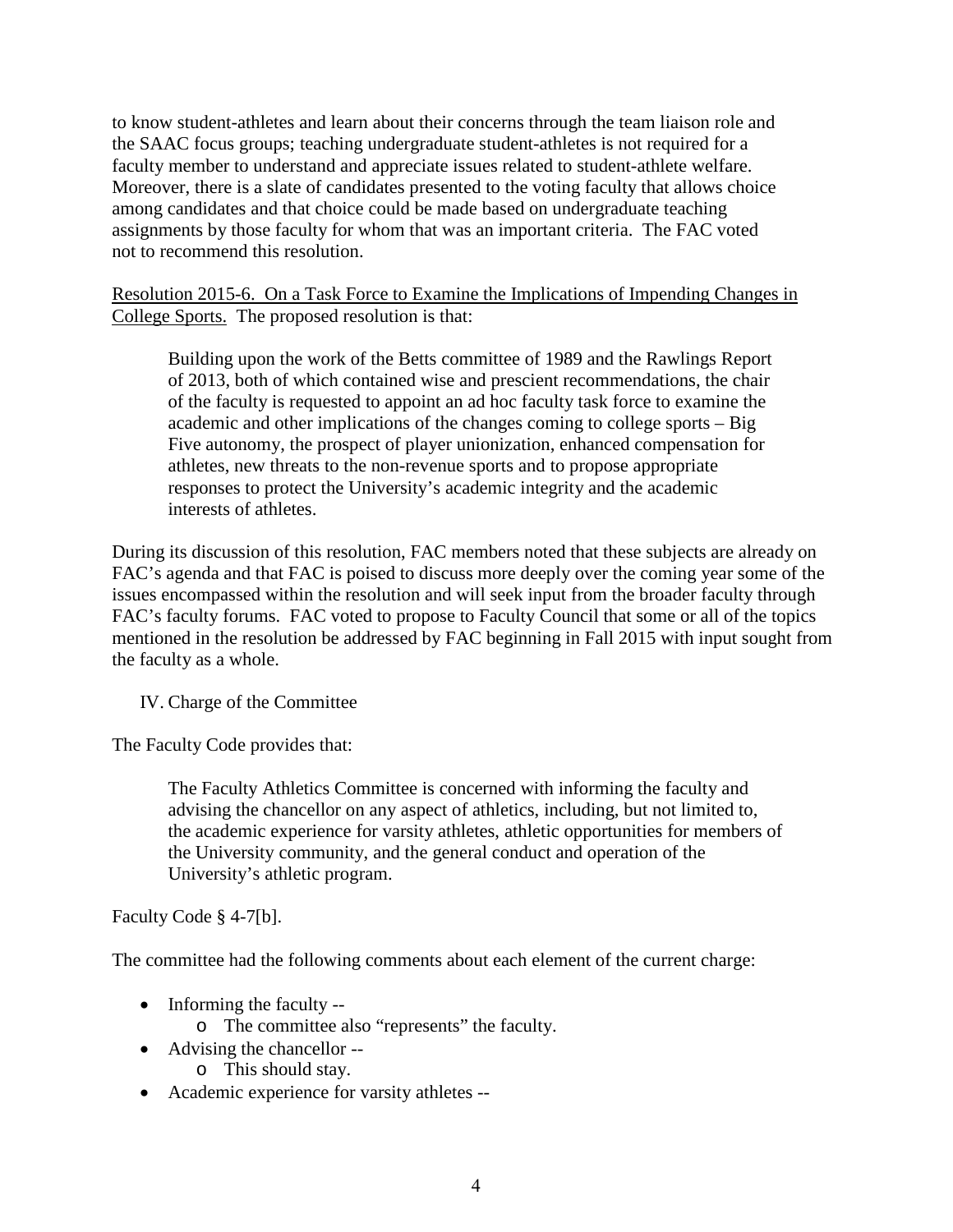to know student-athletes and learn about their concerns through the team liaison role and the SAAC focus groups; teaching undergraduate student-athletes is not required for a faculty member to understand and appreciate issues related to student-athlete welfare. Moreover, there is a slate of candidates presented to the voting faculty that allows choice among candidates and that choice could be made based on undergraduate teaching assignments by those faculty for whom that was an important criteria. The FAC voted not to recommend this resolution.

Resolution 2015-6. On a Task Force to Examine the Implications of Impending Changes in College Sports. The proposed resolution is that:

Building upon the work of the Betts committee of 1989 and the Rawlings Report of 2013, both of which contained wise and prescient recommendations, the chair of the faculty is requested to appoint an ad hoc faculty task force to examine the academic and other implications of the changes coming to college sports – Big Five autonomy, the prospect of player unionization, enhanced compensation for athletes, new threats to the non-revenue sports and to propose appropriate responses to protect the University's academic integrity and the academic interests of athletes.

During its discussion of this resolution, FAC members noted that these subjects are already on FAC's agenda and that FAC is poised to discuss more deeply over the coming year some of the issues encompassed within the resolution and will seek input from the broader faculty through FAC's faculty forums. FAC voted to propose to Faculty Council that some or all of the topics mentioned in the resolution be addressed by FAC beginning in Fall 2015 with input sought from the faculty as a whole.

IV. Charge of the Committee

The Faculty Code provides that:

The Faculty Athletics Committee is concerned with informing the faculty and advising the chancellor on any aspect of athletics, including, but not limited to, the academic experience for varsity athletes, athletic opportunities for members of the University community, and the general conduct and operation of the University's athletic program.

Faculty Code § 4-7[b].

The committee had the following comments about each element of the current charge:

- Informing the faculty -
	- o The committee also "represents" the faculty.
- Advising the chancellor
	- o This should stay.
- Academic experience for varsity athletes --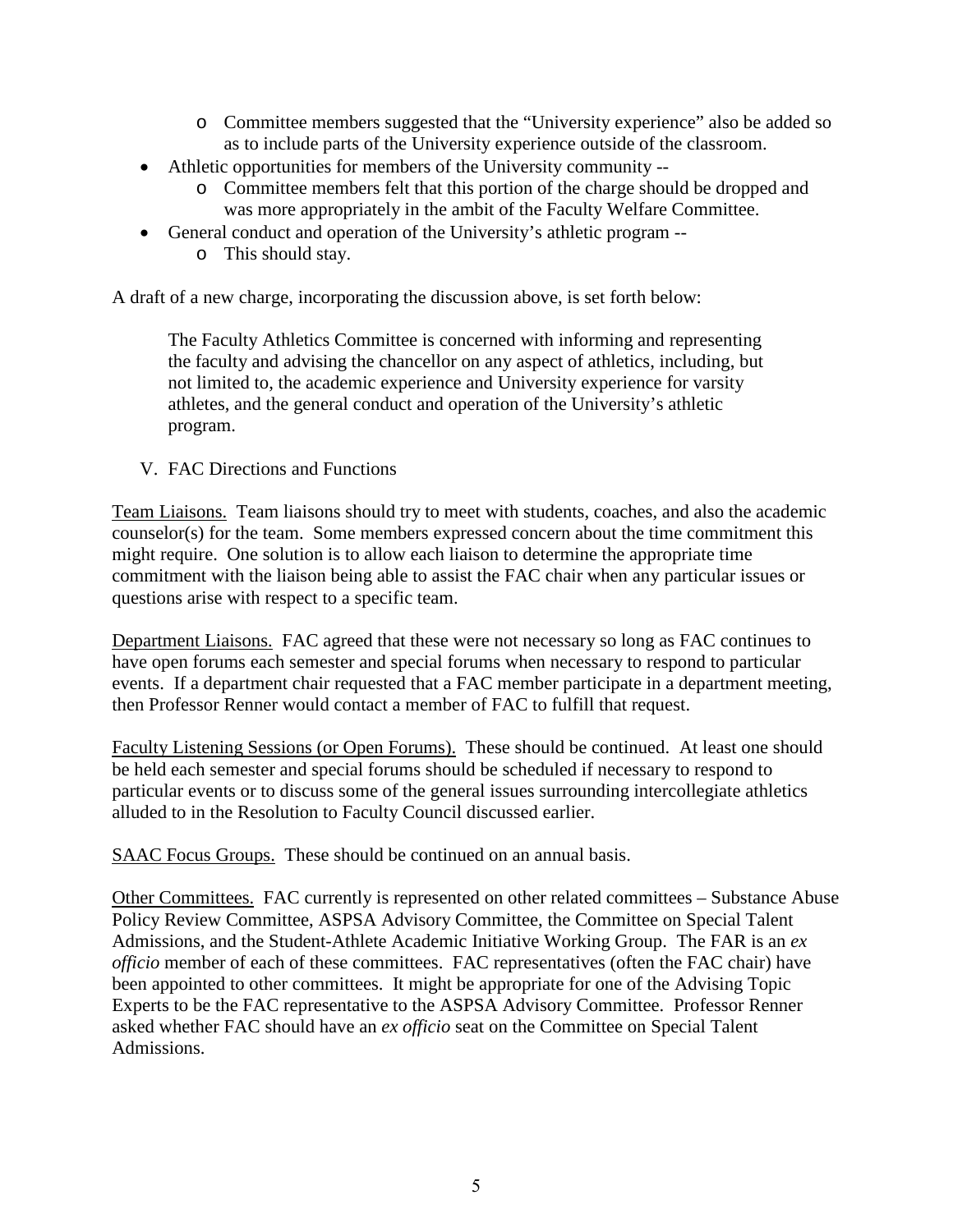- o Committee members suggested that the "University experience" also be added so as to include parts of the University experience outside of the classroom.
- Athletic opportunities for members of the University community
	- o Committee members felt that this portion of the charge should be dropped and was more appropriately in the ambit of the Faculty Welfare Committee.
- General conduct and operation of the University's athletic program
	- o This should stay.

A draft of a new charge, incorporating the discussion above, is set forth below:

The Faculty Athletics Committee is concerned with informing and representing the faculty and advising the chancellor on any aspect of athletics, including, but not limited to, the academic experience and University experience for varsity athletes, and the general conduct and operation of the University's athletic program.

V. FAC Directions and Functions

Team Liaisons. Team liaisons should try to meet with students, coaches, and also the academic counselor(s) for the team. Some members expressed concern about the time commitment this might require. One solution is to allow each liaison to determine the appropriate time commitment with the liaison being able to assist the FAC chair when any particular issues or questions arise with respect to a specific team.

Department Liaisons. FAC agreed that these were not necessary so long as FAC continues to have open forums each semester and special forums when necessary to respond to particular events. If a department chair requested that a FAC member participate in a department meeting, then Professor Renner would contact a member of FAC to fulfill that request.

Faculty Listening Sessions (or Open Forums). These should be continued. At least one should be held each semester and special forums should be scheduled if necessary to respond to particular events or to discuss some of the general issues surrounding intercollegiate athletics alluded to in the Resolution to Faculty Council discussed earlier.

SAAC Focus Groups. These should be continued on an annual basis.

Other Committees. FAC currently is represented on other related committees – Substance Abuse Policy Review Committee, ASPSA Advisory Committee, the Committee on Special Talent Admissions, and the Student-Athlete Academic Initiative Working Group. The FAR is an *ex officio* member of each of these committees. FAC representatives (often the FAC chair) have been appointed to other committees. It might be appropriate for one of the Advising Topic Experts to be the FAC representative to the ASPSA Advisory Committee. Professor Renner asked whether FAC should have an *ex officio* seat on the Committee on Special Talent Admissions.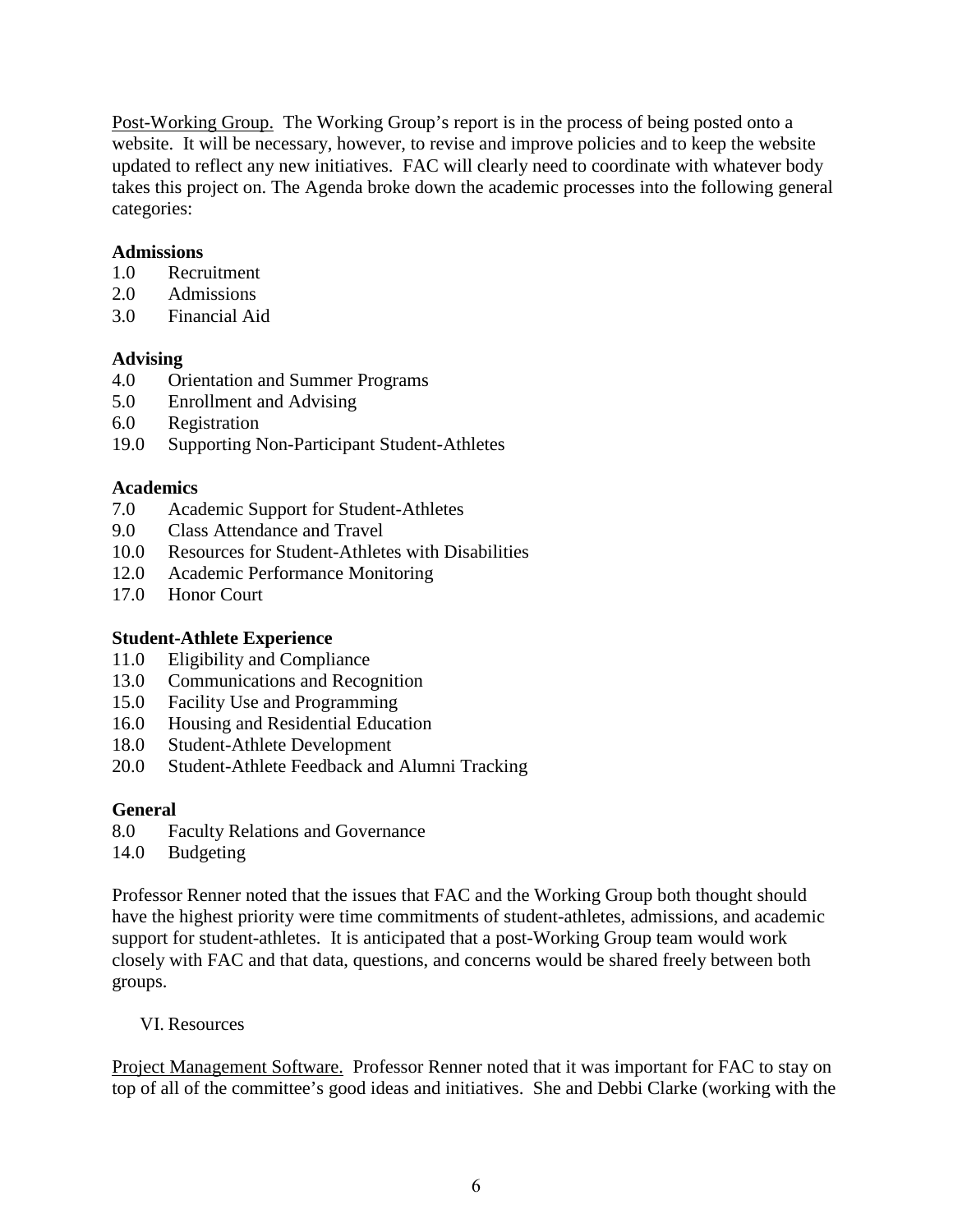Post-Working Group. The Working Group's report is in the process of being posted onto a website. It will be necessary, however, to revise and improve policies and to keep the website updated to reflect any new initiatives. FAC will clearly need to coordinate with whatever body takes this project on. The Agenda broke down the academic processes into the following general categories:

### **Admissions**

- 1.0 Recruitment
- 2.0 Admissions
- 3.0 Financial Aid

## **Advising**

- 4.0 Orientation and Summer Programs
- 5.0 Enrollment and Advising
- 6.0 Registration
- 19.0 Supporting Non-Participant Student-Athletes

## **Academics**

- 7.0 Academic Support for Student-Athletes
- 9.0 Class Attendance and Travel
- 10.0 Resources for Student-Athletes with Disabilities
- 12.0 Academic Performance Monitoring
- 17.0 Honor Court

# **Student-Athlete Experience**

- 11.0 Eligibility and Compliance
- 13.0 Communications and Recognition
- 15.0 Facility Use and Programming
- 16.0 Housing and Residential Education
- 18.0 Student-Athlete Development
- 20.0 Student-Athlete Feedback and Alumni Tracking

# **General**

- 8.0 Faculty Relations and Governance
- 14.0 Budgeting

Professor Renner noted that the issues that FAC and the Working Group both thought should have the highest priority were time commitments of student-athletes, admissions, and academic support for student-athletes. It is anticipated that a post-Working Group team would work closely with FAC and that data, questions, and concerns would be shared freely between both groups.

### VI. Resources

Project Management Software. Professor Renner noted that it was important for FAC to stay on top of all of the committee's good ideas and initiatives. She and Debbi Clarke (working with the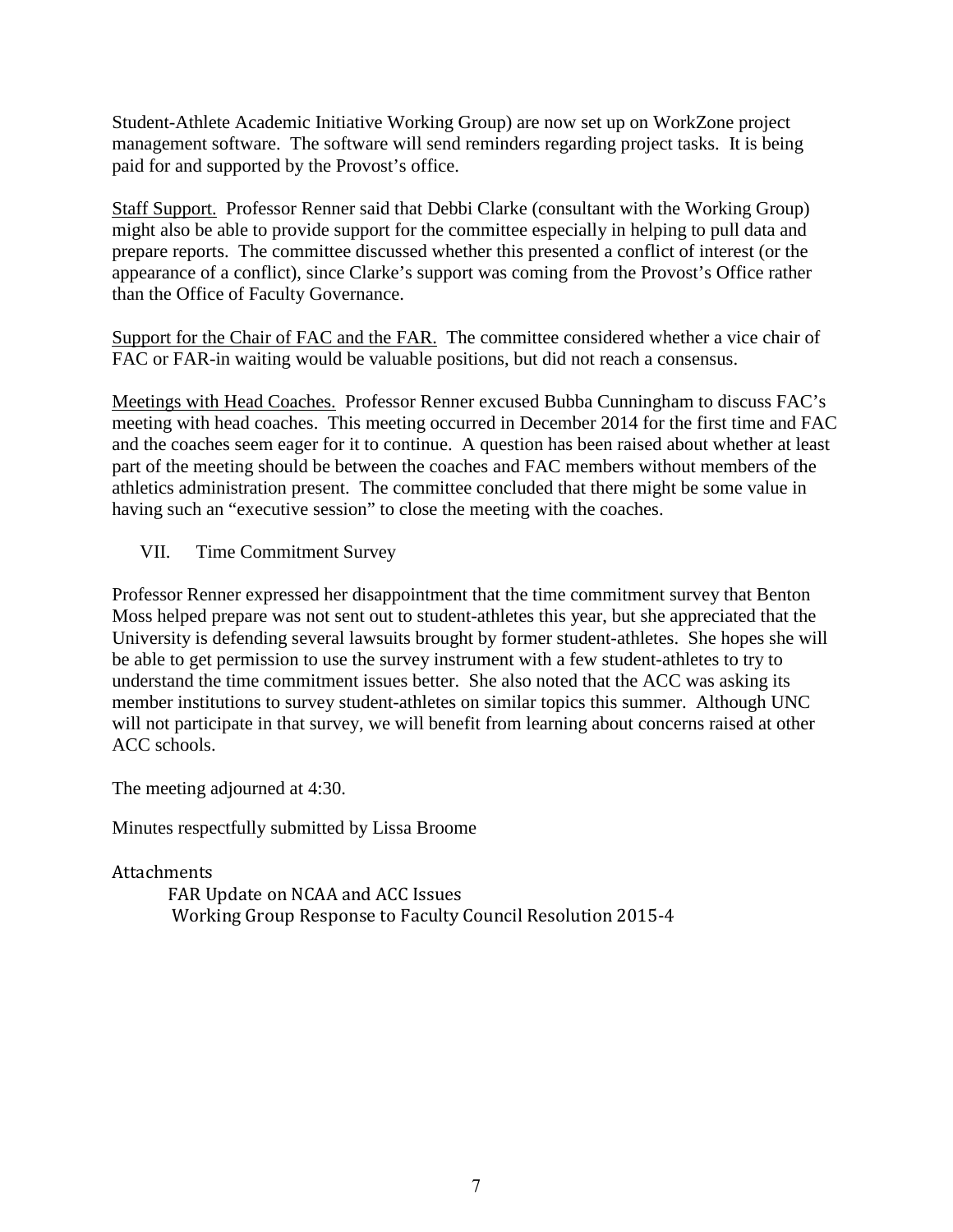Student-Athlete Academic Initiative Working Group) are now set up on WorkZone project management software. The software will send reminders regarding project tasks. It is being paid for and supported by the Provost's office.

Staff Support. Professor Renner said that Debbi Clarke (consultant with the Working Group) might also be able to provide support for the committee especially in helping to pull data and prepare reports. The committee discussed whether this presented a conflict of interest (or the appearance of a conflict), since Clarke's support was coming from the Provost's Office rather than the Office of Faculty Governance.

Support for the Chair of FAC and the FAR. The committee considered whether a vice chair of FAC or FAR-in waiting would be valuable positions, but did not reach a consensus.

Meetings with Head Coaches. Professor Renner excused Bubba Cunningham to discuss FAC's meeting with head coaches. This meeting occurred in December 2014 for the first time and FAC and the coaches seem eager for it to continue. A question has been raised about whether at least part of the meeting should be between the coaches and FAC members without members of the athletics administration present. The committee concluded that there might be some value in having such an "executive session" to close the meeting with the coaches.

## VII. Time Commitment Survey

Professor Renner expressed her disappointment that the time commitment survey that Benton Moss helped prepare was not sent out to student-athletes this year, but she appreciated that the University is defending several lawsuits brought by former student-athletes. She hopes she will be able to get permission to use the survey instrument with a few student-athletes to try to understand the time commitment issues better. She also noted that the ACC was asking its member institutions to survey student-athletes on similar topics this summer. Although UNC will not participate in that survey, we will benefit from learning about concerns raised at other ACC schools.

The meeting adjourned at 4:30.

Minutes respectfully submitted by Lissa Broome

Attachments

FAR Update on NCAA and ACC Issues Working Group Response to Faculty Council Resolution 2015-4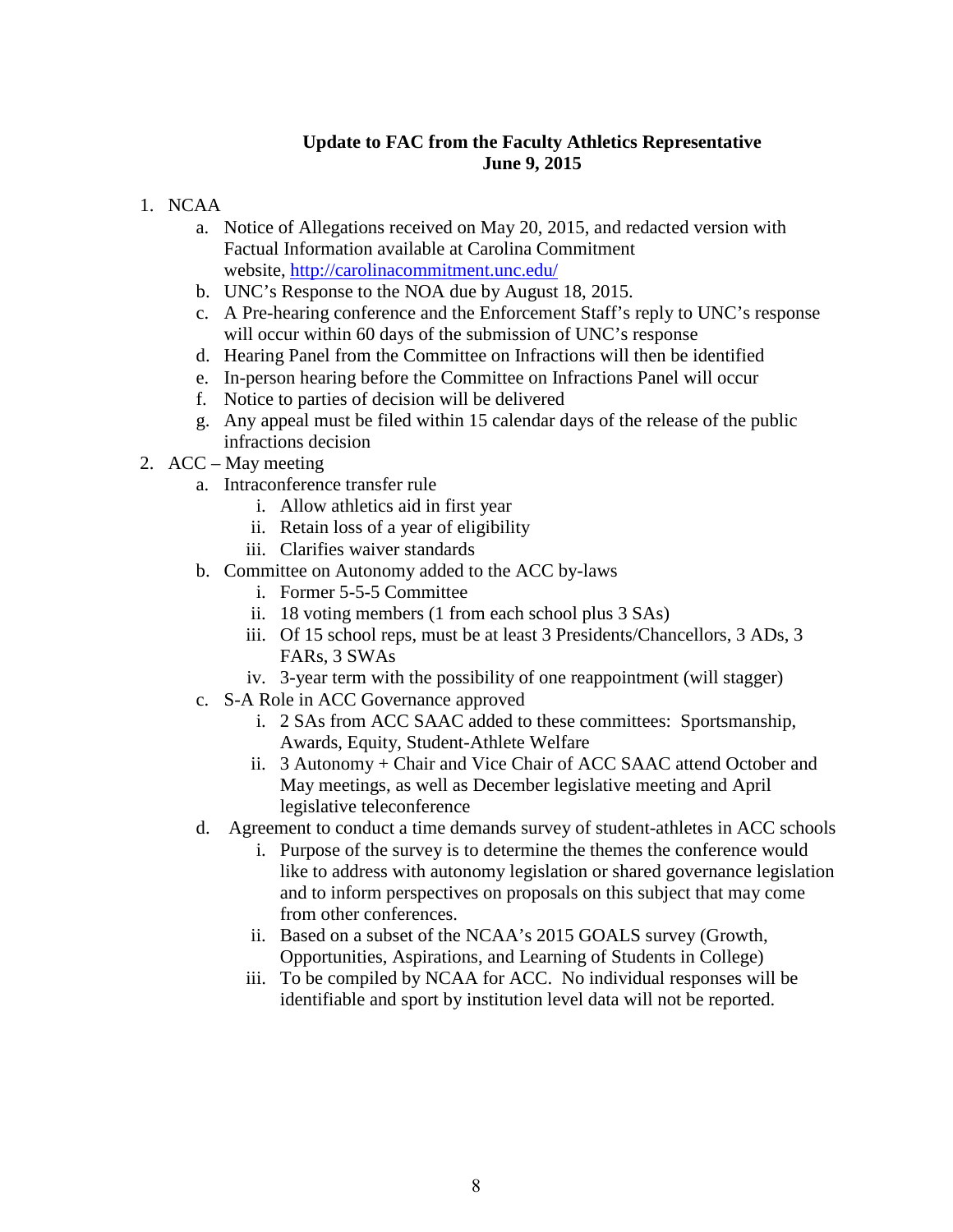### **Update to FAC from the Faculty Athletics Representative June 9, 2015**

- 1. NCAA
	- a. Notice of Allegations received on May 20, 2015, and redacted version with Factual Information available at Carolina Commitment website,<http://carolinacommitment.unc.edu/>
	- b. UNC's Response to the NOA due by August 18, 2015.
	- c. A Pre-hearing conference and the Enforcement Staff's reply to UNC's response will occur within 60 days of the submission of UNC's response
	- d. Hearing Panel from the Committee on Infractions will then be identified
	- e. In-person hearing before the Committee on Infractions Panel will occur
	- f. Notice to parties of decision will be delivered
	- g. Any appeal must be filed within 15 calendar days of the release of the public infractions decision
- 2. ACC May meeting
	- a. Intraconference transfer rule
		- i. Allow athletics aid in first year
		- ii. Retain loss of a year of eligibility
		- iii. Clarifies waiver standards
	- b. Committee on Autonomy added to the ACC by-laws
		- i. Former 5-5-5 Committee
		- ii. 18 voting members (1 from each school plus 3 SAs)
		- iii. Of 15 school reps, must be at least 3 Presidents/Chancellors, 3 ADs, 3 FARs, 3 SWAs
		- iv. 3-year term with the possibility of one reappointment (will stagger)
	- c. S-A Role in ACC Governance approved
		- i. 2 SAs from ACC SAAC added to these committees: Sportsmanship, Awards, Equity, Student-Athlete Welfare
		- ii. 3 Autonomy + Chair and Vice Chair of ACC SAAC attend October and May meetings, as well as December legislative meeting and April legislative teleconference
	- d. Agreement to conduct a time demands survey of student-athletes in ACC schools
		- i. Purpose of the survey is to determine the themes the conference would like to address with autonomy legislation or shared governance legislation and to inform perspectives on proposals on this subject that may come from other conferences.
		- ii. Based on a subset of the NCAA's 2015 GOALS survey (Growth, Opportunities, Aspirations, and Learning of Students in College)
		- iii. To be compiled by NCAA for ACC. No individual responses will be identifiable and sport by institution level data will not be reported.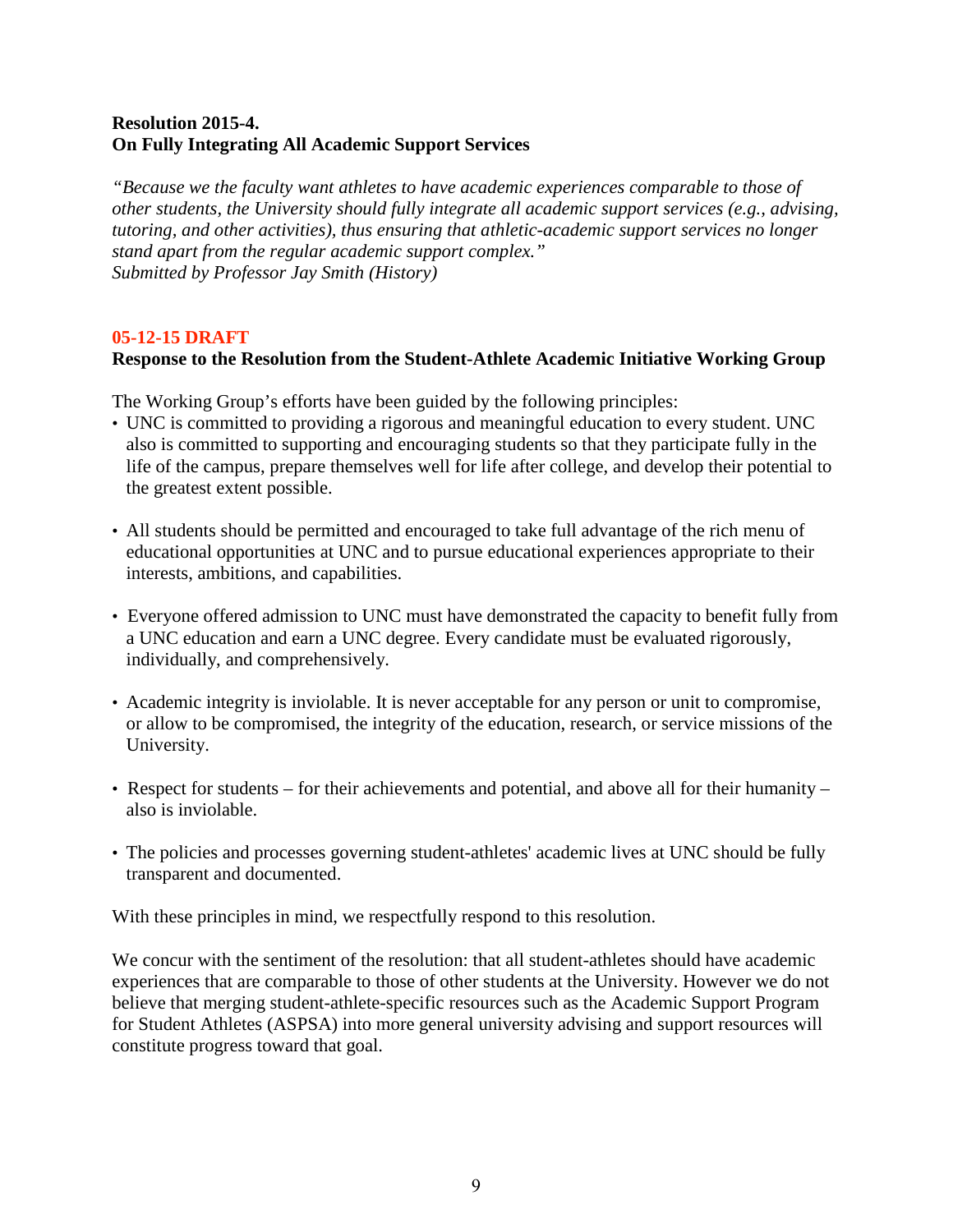### **Resolution 2015-4. On Fully Integrating All Academic Support Services**

*"Because we the faculty want athletes to have academic experiences comparable to those of other students, the University should fully integrate all academic support services (e.g., advising, tutoring, and other activities), thus ensuring that athletic-academic support services no longer stand apart from the regular academic support complex." Submitted by Professor Jay Smith (History)*

#### **05-12-15 DRAFT**

#### **Response to the Resolution from the Student-Athlete Academic Initiative Working Group**

The Working Group's efforts have been guided by the following principles:

- UNC is committed to providing a rigorous and meaningful education to every student. UNC also is committed to supporting and encouraging students so that they participate fully in the life of the campus, prepare themselves well for life after college, and develop their potential to the greatest extent possible.
- All students should be permitted and encouraged to take full advantage of the rich menu of educational opportunities at UNC and to pursue educational experiences appropriate to their interests, ambitions, and capabilities.
- Everyone offered admission to UNC must have demonstrated the capacity to benefit fully from a UNC education and earn a UNC degree. Every candidate must be evaluated rigorously, individually, and comprehensively.
- Academic integrity is inviolable. It is never acceptable for any person or unit to compromise, or allow to be compromised, the integrity of the education, research, or service missions of the University.
- Respect for students for their achievements and potential, and above all for their humanity also is inviolable.
- The policies and processes governing student-athletes' academic lives at UNC should be fully transparent and documented.

With these principles in mind, we respectfully respond to this resolution.

We concur with the sentiment of the resolution: that all student-athletes should have academic experiences that are comparable to those of other students at the University. However we do not believe that merging student-athlete-specific resources such as the Academic Support Program for Student Athletes (ASPSA) into more general university advising and support resources will constitute progress toward that goal.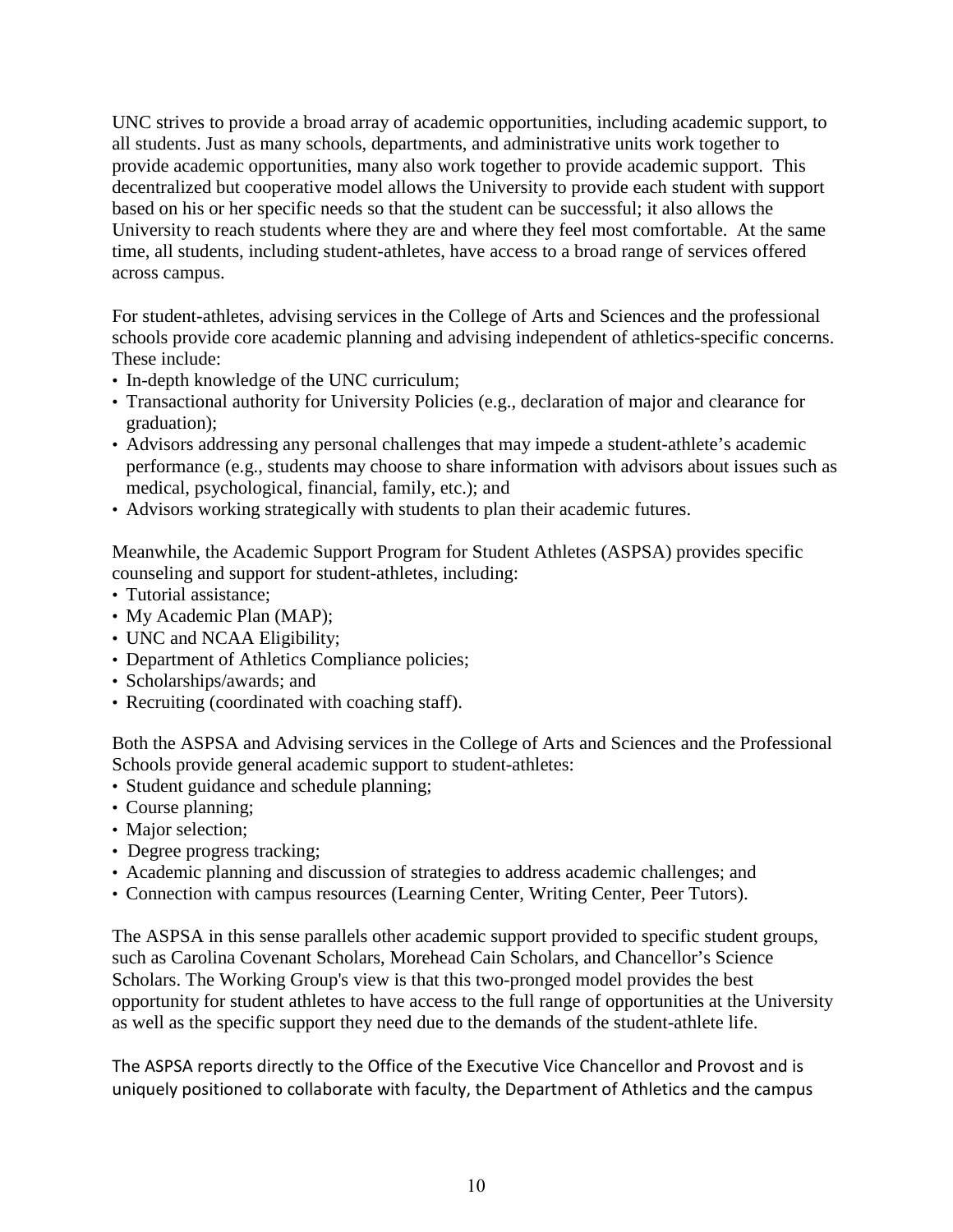UNC strives to provide a broad array of academic opportunities, including academic support, to all students. Just as many schools, departments, and administrative units work together to provide academic opportunities, many also work together to provide academic support. This decentralized but cooperative model allows the University to provide each student with support based on his or her specific needs so that the student can be successful; it also allows the University to reach students where they are and where they feel most comfortable. At the same time, all students, including student-athletes, have access to a broad range of services offered across campus.

For student-athletes, advising services in the College of Arts and Sciences and the professional schools provide core academic planning and advising independent of athletics-specific concerns. These include:

- In-depth knowledge of the UNC curriculum;
- Transactional authority for University Policies (e.g., declaration of major and clearance for graduation);
- Advisors addressing any personal challenges that may impede a student-athlete's academic performance (e.g., students may choose to share information with advisors about issues such as medical, psychological, financial, family, etc.); and
- Advisors working strategically with students to plan their academic futures.

Meanwhile, the Academic Support Program for Student Athletes (ASPSA) provides specific counseling and support for student-athletes, including:

- Tutorial assistance;
- My Academic Plan (MAP);
- UNC and NCAA Eligibility;
- Department of Athletics Compliance policies;
- Scholarships/awards; and
- Recruiting (coordinated with coaching staff).

Both the ASPSA and Advising services in the College of Arts and Sciences and the Professional Schools provide general academic support to student-athletes:

- Student guidance and schedule planning;
- Course planning;
- Major selection;
- Degree progress tracking;
- Academic planning and discussion of strategies to address academic challenges; and
- Connection with campus resources (Learning Center, Writing Center, Peer Tutors).

The ASPSA in this sense parallels other academic support provided to specific student groups, such as Carolina Covenant Scholars, Morehead Cain Scholars, and Chancellor's Science Scholars. The Working Group's view is that this two-pronged model provides the best opportunity for student athletes to have access to the full range of opportunities at the University as well as the specific support they need due to the demands of the student-athlete life.

The ASPSA reports directly to the Office of the Executive Vice Chancellor and Provost and is uniquely positioned to collaborate with faculty, the Department of Athletics and the campus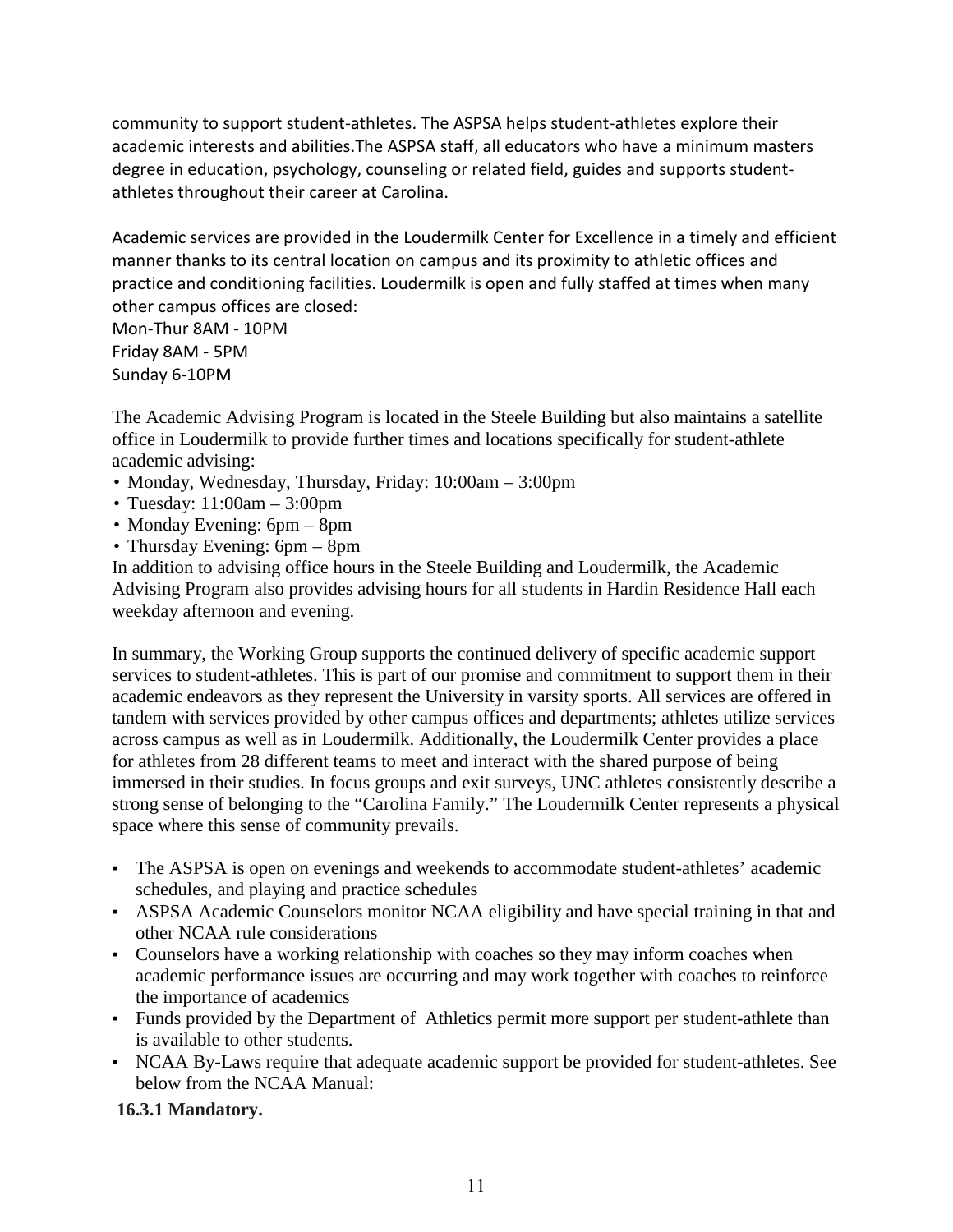community to support student-athletes. The ASPSA helps student-athletes explore their academic interests and abilities.The ASPSA staff, all educators who have a minimum masters degree in education, psychology, counseling or related field, guides and supports studentathletes throughout their career at Carolina.

Academic services are provided in the Loudermilk Center for Excellence in a timely and efficient manner thanks to its central location on campus and its proximity to athletic offices and practice and conditioning facilities. Loudermilk is open and fully staffed at times when many other campus offices are closed:

Mon-Thur 8AM - 10PM Friday 8AM - 5PM Sunday 6-10PM

The Academic Advising Program is located in the Steele Building but also maintains a satellite office in Loudermilk to provide further times and locations specifically for student-athlete academic advising:

- Monday, Wednesday, Thursday, Friday: 10:00am 3:00pm
- Tuesday: 11:00am 3:00pm
- Monday Evening: 6pm 8pm
- Thursday Evening: 6pm 8pm

In addition to advising office hours in the Steele Building and Loudermilk, the Academic Advising Program also provides advising hours for all students in Hardin Residence Hall each weekday afternoon and evening.

In summary, the Working Group supports the continued delivery of specific academic support services to student-athletes. This is part of our promise and commitment to support them in their academic endeavors as they represent the University in varsity sports. All services are offered in tandem with services provided by other campus offices and departments; athletes utilize services across campus as well as in Loudermilk. Additionally, the Loudermilk Center provides a place for athletes from 28 different teams to meet and interact with the shared purpose of being immersed in their studies. In focus groups and exit surveys, UNC athletes consistently describe a strong sense of belonging to the "Carolina Family." The Loudermilk Center represents a physical space where this sense of community prevails.

- The ASPSA is open on evenings and weekends to accommodate student-athletes' academic schedules, and playing and practice schedules
- ASPSA Academic Counselors monitor NCAA eligibility and have special training in that and other NCAA rule considerations
- Counselors have a working relationship with coaches so they may inform coaches when academic performance issues are occurring and may work together with coaches to reinforce the importance of academics
- Funds provided by the Department of Athletics permit more support per student-athlete than is available to other students.
- NCAA By-Laws require that adequate academic support be provided for student-athletes. See below from the NCAA Manual:

### **16.3.1 Mandatory.**